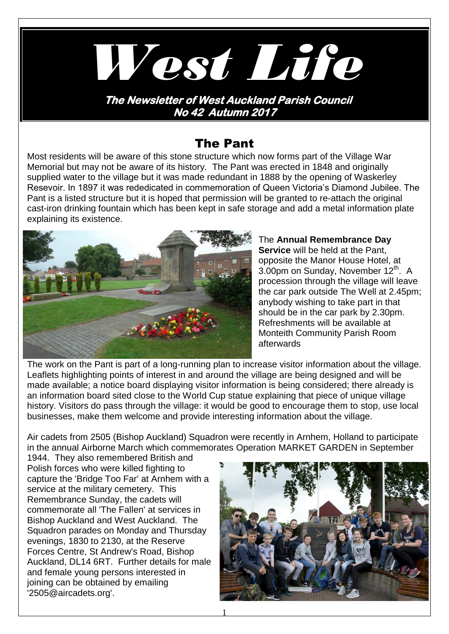

## The Pant

Most residents will be aware of this stone structure which now forms part of the Village War Memorial but may not be aware of its history. The Pant was erected in 1848 and originally supplied water to the village but it was made redundant in 1888 by the opening of Waskerley Resevoir. In 1897 it was rededicated in commemoration of Queen Victoria's Diamond Jubilee. The Pant is a listed structure but it is hoped that permission will be granted to re-attach the original cast-iron drinking fountain which has been kept in safe storage and add a metal information plate explaining its existence.



The **Annual Remembrance Day Service** will be held at the Pant, opposite the Manor House Hotel, at  $3.00$ pm on Sunday, November  $12<sup>th</sup>$ . A procession through the village will leave the car park outside The Well at 2.45pm; anybody wishing to take part in that should be in the car park by 2.30pm. Refreshments will be available at Monteith Community Parish Room afterwards

The work on the Pant is part of a long-running plan to increase visitor information about the village. Leaflets highlighting points of interest in and around the village are being designed and will be made available; a notice board displaying visitor information is being considered; there already is an information board sited close to the World Cup statue explaining that piece of unique village history. Visitors do pass through the village: it would be good to encourage them to stop, use local businesses, make them welcome and provide interesting information about the village.

Air cadets from 2505 (Bishop Auckland) Squadron were recently in Arnhem, Holland to participate in the annual Airborne March which commemorates Operation MARKET GARDEN in September

1944. They also remembered British and Polish forces who were killed fighting to capture the 'Bridge Too Far' at Arnhem with a service at the military cemetery. This Remembrance Sunday, the cadets will commemorate all 'The Fallen' at services in Bishop Auckland and West Auckland. The Squadron parades on Monday and Thursday evenings, 1830 to 2130, at the Reserve Forces Centre, St Andrew's Road, Bishop Auckland, DL14 6RT. Further details for male and female young persons interested in joining can be obtained by emailing '2505@aircadets.org'.

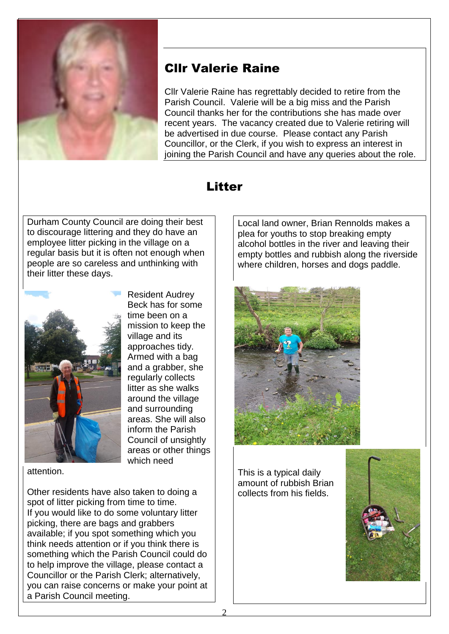

# Cllr Valerie Raine

Cllr Valerie Raine has regrettably decided to retire from the Parish Council. Valerie will be a big miss and the Parish Council thanks her for the contributions she has made over recent years. The vacancy created due to Valerie retiring will be advertised in due course. Please contact any Parish Councillor, or the Clerk, if you wish to express an interest in joining the Parish Council and have any queries about the role.

## Litter

Durham County Council are doing their best to discourage littering and they do have an employee litter picking in the village on a regular basis but it is often not enough when people are so careless and unthinking with their litter these days.

> Resident Audrey Beck has for some time been on a mission to keep the

village and its approaches tidy. Armed with a bag and a grabber, she regularly collects litter as she walks around the village and surrounding areas. She will also inform the Parish Council of unsightly areas or other things

which need



attention.

Other residents have also taken to doing a spot of litter picking from time to time. If you would like to do some voluntary litter picking, there are bags and grabbers available; if you spot something which you think needs attention or if you think there is something which the Parish Council could do to help improve the village, please contact a Councillor or the Parish Clerk; alternatively, you can raise concerns or make your point at a Parish Council meeting.

Local land owner, Brian Rennolds makes a plea for youths to stop breaking empty alcohol bottles in the river and leaving their empty bottles and rubbish along the riverside where children, horses and dogs paddle.



This is a typical daily amount of rubbish Brian collects from his fields.

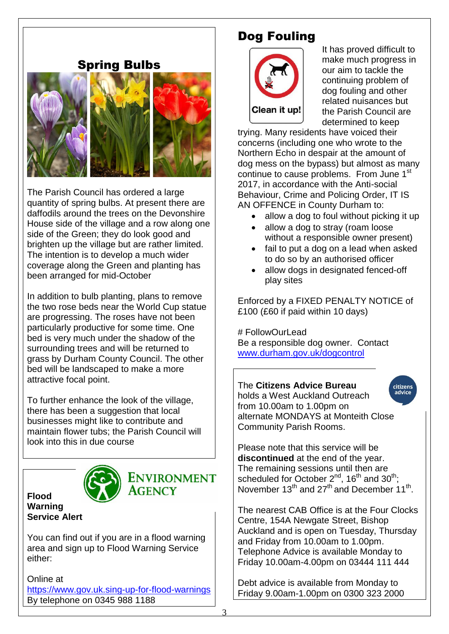### Spring Bulbs



The Parish Council has ordered a large quantity of spring bulbs. At present there are daffodils around the trees on the Devonshire House side of the village and a row along one side of the Green; they do look good and brighten up the village but are rather limited. The intention is to develop a much wider coverage along the Green and planting has been arranged for mid-October

In addition to bulb planting, plans to remove the two rose beds near the World Cup statue are progressing. The roses have not been particularly productive for some time. One bed is very much under the shadow of the surrounding trees and will be returned to grass by Durham County Council. The other bed will be landscaped to make a more attractive focal point.

To further enhance the look of the village, there has been a suggestion that local businesses might like to contribute and maintain flower tubs; the Parish Council will look into this in due course



**Flood Warning Service Alert** **ENVIRONMENT** AGENCY

You can find out if you are in a flood warning area and sign up to Flood Warning Service either:

Online at [https://www.gov.uk.sing-up-for-flood-warnings](https://www.gov.uk.sing-up-for-flood-warnings/) By telephone on 0345 988 1188

# Dog Fouling



It has proved difficult to make much progress in our aim to tackle the continuing problem of dog fouling and other related nuisances but the Parish Council are determined to keep

trying. Many residents have voiced their concerns (including one who wrote to the Northern Echo in despair at the amount of dog mess on the bypass) but almost as many continue to cause problems. From June 1<sup>st</sup> 2017, in accordance with the Anti-social Behaviour, Crime and Policing Order, IT IS AN OFFENCE in County Durham to:

- allow a dog to foul without picking it up
- allow a dog to stray (roam loose without a responsible owner present)
- fail to put a dog on a lead when asked to do so by an authorised officer
- allow dogs in designated fenced-off play sites

Enforced by a FIXED PENALTY NOTICE of £100 (£60 if paid within 10 days)

# FollowOurLead

Be a responsible dog owner. Contact [www.durham.gov.uk/dogcontrol](http://www.durham.gov.uk/dogcontrol)

#### The **Citizens Advice Bureau**  holds a West Auckland Outreach from 10.00am to 1.00pm on alternate MONDAYS at Monteith Close Community Parish Rooms.

citizens advice

Please note that this service will be **discontinued** at the end of the year. The remaining sessions until then are scheduled for October  $2^{nd}$ , 16<sup>th</sup> and 30<sup>th</sup>; November  $13<sup>th</sup>$  and  $27<sup>th</sup>$  and December  $11<sup>th</sup>$ .

The nearest CAB Office is at the Four Clocks Centre, 154A Newgate Street, Bishop Auckland and is open on Tuesday, Thursday and Friday from 10.00am to 1.00pm. Telephone Advice is available Monday to Friday 10.00am-4.00pm on 03444 111 444

Debt advice is available from Monday to Friday 9.00am-1.00pm on 0300 323 2000